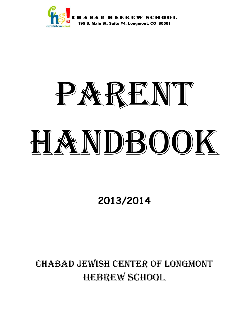

# PARENT HANDBOOK

**2013/2014** 

CHABAD JEWISH CENTER OF LONGMONT HEBREW SCHOOL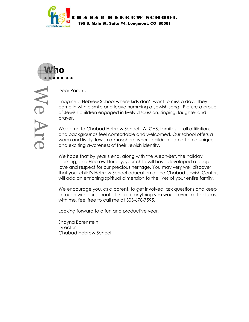



We Are

Dear Parent,

Imagine a Hebrew School where kids don't want to miss a day. They come in with a smile and leave humming a Jewish song. Picture a group of Jewish children engaged in lively discussion, singing, laughter and prayer.

Welcome to Chabad Hebrew School. At CHS, families of all affiliations and backgrounds feel comfortable and welcomed. Our school offers a warm and lively Jewish atmosphere where children can attain a unique and exciting awareness of their Jewish identity.

We hope that by year's end, along with the Aleph-Bet, the holiday learning, and Hebrew literacy, your child will have developed a deep love and respect for our precious heritage. You may very well discover that your child's Hebrew School education at the Chabad Jewish Center, will add an enriching spiritual dimension to the lives of your entire family.

We encourage you, as a parent, to get involved, ask questions and keep in touch with our school. If there is anything you would ever like to discuss with me, feel free to call me at 303-678-7595.

Looking forward to a fun and productive year,

Shayna Borenstein **Director** Chabad Hebrew School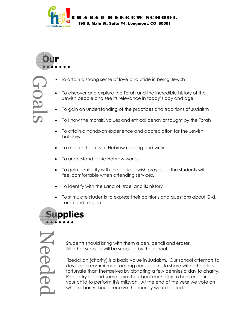

**Our** Goals ● ● ● ● ● ● ●

- To attain a strong sense of love and pride in being Jewish
- To discover and explore the Torah and the incredible history of the Jewish people and see its relevance in today's day and age
- To gain an understanding of the practices and traditions of Judaism
- To know the morals, values and ethical behavior taught by the Torah
- To attain a hands-on experience and appreciation for the Jewish holidays
- To master the skills of Hebrew reading and writing
- To understand basic Hebrew words
- To gain familiarity with the basic Jewish prayers so the students will feel comfortable when attending services.
- To identify with the Land of Israel and its history
- To stimulate students to express their opinions and questions about G-d, Torah and religion



Needed

Students should bring with them a pen, pencil and eraser. All other supplies will be supplied by the school.

Tzedakah (charity) is a basic value in Judaism. Our school attempts to develop a commitment among our students to share with others less fortunate than themselves by donating a few pennies a day to charity. Please try to send some coins to school each day to help encourage your child to perform this mitzvah. At the end of the year we vote on which charity should receive the money we collected.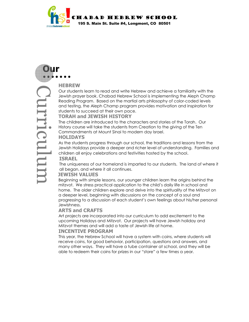

Reading Program. Based on the mart<br>and testing, the Aleph Champ prograph<br>students to succeed at their own pace<br>**TORAH and JEWISH HISTORY**<br>The children are introduced to the ch<br>History course will take the students fract<br>Co **Our**  ● ● ● ● ● ● ● Curriculum

# **HEBREW**

Our students learn to read and write Hebrew and achieve a familiarity with the Jewish prayer book. Chabad Hebrew School is implementing the Aleph Champ Reading Program. Based on the martial arts philosophy of color-coded levels and testing, the Aleph Champ program provides motivation and inspiration for students to succeed at their own pace.

The children are introduced to the characters and stories of the Torah. Our History course will take the students from Creation to the giving of the Ten

Commandments at Mount Sinai to modern day Israel.

#### **HOLIDAYS**

As the students progress through our school, the traditions and lessons from the Jewish Holidays provide a deeper and richer level of understanding. Families and children all enjoy celebrations and festivities hosted by the school.  **ISRAEL** 

The uniqueness of our homeland is imparted to our students. The land of where it all began, and where it all continues.

# **JEWISH VALUES**

 Beginning with simple lessons, our younger children learn the origins behind the mitzvot. We stress practical application to the child's daily life in school and home. The older children explore and delve into the spirituality of the Mitzvot on a deeper level, beginning with discussions on the concept of a soul and progressing to a discussion of each student's own feelings about his/her personal Jewishness.

### **ARTS and CRAFTS**

Art projects are incorporated into our curriculum to add excitement to the upcoming Holidays and Mitzvot. Our projects will have Jewish holiday and Mitzvot themes and will add a taste of Jewish life at home.

# **INCENTIVE PROGRAM**

This year, the Hebrew School will have a system with coins, where students will receive coins, for good behavior, participation, questions and answers, and many other ways. They will have a tube container at school, and they will be able to redeem their coins for prizes in our "store" a few times a year.